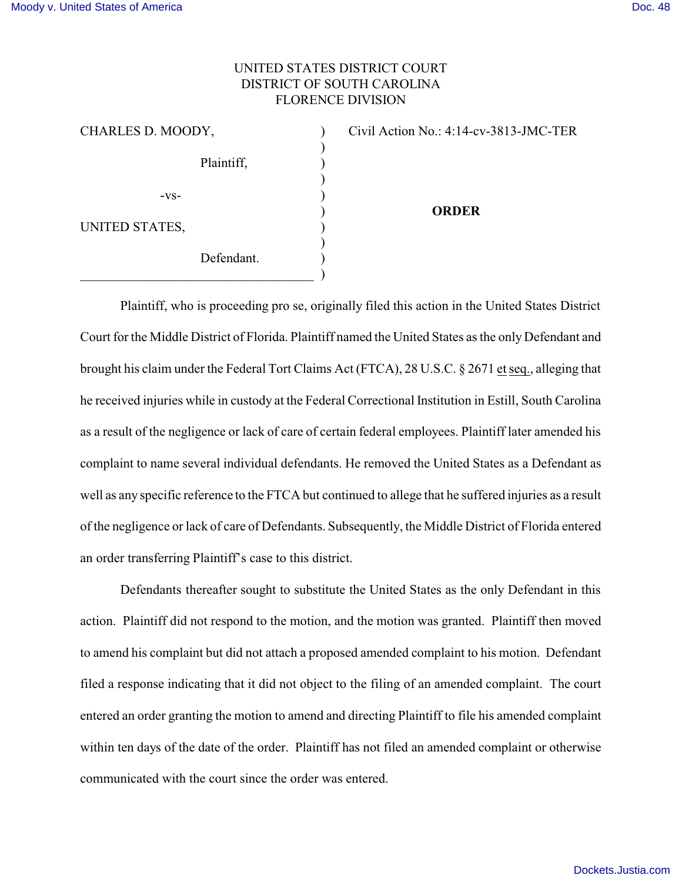3-JMC-TER

## UNITED STATES DISTRICT COURT DISTRICT OF SOUTH CAROLINA FLORENCE DIVISION

| CHARLES D. MOODY, |            | Civil Action No.: 4:14-cv-381 |
|-------------------|------------|-------------------------------|
|                   | Plaintiff, |                               |
| $-VS-$            |            | <b>ORDER</b>                  |
| UNITED STATES,    |            |                               |
|                   | Defendant. |                               |

Plaintiff, who is proceeding pro se, originally filed this action in the United States District Court for the Middle District of Florida. Plaintiff named the United States as the only Defendant and brought his claim under the Federal Tort Claims Act (FTCA), 28 U.S.C. § 2671 et seq., alleging that he received injuries while in custody at the Federal Correctional Institution in Estill, South Carolina as a result of the negligence or lack of care of certain federal employees. Plaintiff later amended his complaint to name several individual defendants. He removed the United States as a Defendant as well as any specific reference to the FTCA but continued to allege that he suffered injuries as a result of the negligence or lack of care of Defendants. Subsequently, the Middle District of Florida entered an order transferring Plaintiff's case to this district.

Defendants thereafter sought to substitute the United States as the only Defendant in this action. Plaintiff did not respond to the motion, and the motion was granted. Plaintiff then moved to amend his complaint but did not attach a proposed amended complaint to his motion. Defendant filed a response indicating that it did not object to the filing of an amended complaint. The court entered an order granting the motion to amend and directing Plaintiff to file his amended complaint within ten days of the date of the order. Plaintiff has not filed an amended complaint or otherwise communicated with the court since the order was entered.